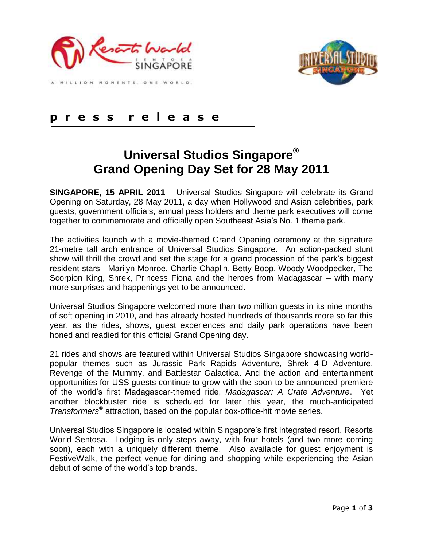



#### LION MOMENTS, ONE WORLD.

## **p r e s s r e l e a s e**

# **Universal Studios Singapore® Grand Opening Day Set for 28 May 2011**

**SINGAPORE, 15 APRIL 2011** – Universal Studios Singapore will celebrate its Grand Opening on Saturday, 28 May 2011, a day when Hollywood and Asian celebrities, park guests, government officials, annual pass holders and theme park executives will come together to commemorate and officially open Southeast Asia"s No. 1 theme park.

The activities launch with a movie-themed Grand Opening ceremony at the signature 21-metre tall arch entrance of Universal Studios Singapore. An action-packed stunt show will thrill the crowd and set the stage for a grand procession of the park"s biggest resident stars - Marilyn Monroe, Charlie Chaplin, Betty Boop, Woody Woodpecker, The Scorpion King, Shrek, Princess Fiona and the heroes from Madagascar – with many more surprises and happenings yet to be announced.

Universal Studios Singapore welcomed more than two million guests in its nine months of soft opening in 2010, and has already hosted hundreds of thousands more so far this year, as the rides, shows, guest experiences and daily park operations have been honed and readied for this official Grand Opening day.

21 rides and shows are featured within Universal Studios Singapore showcasing worldpopular themes such as Jurassic Park Rapids Adventure, Shrek 4-D Adventure, Revenge of the Mummy, and Battlestar Galactica. And the action and entertainment opportunities for USS guests continue to grow with the soon-to-be-announced premiere of the world"s first Madagascar-themed ride, *Madagascar: A Crate Adventure*. Yet another blockbuster ride is scheduled for later this year, the much-anticipated *Transformers®* attraction, based on the popular box-office-hit movie series.

Universal Studios Singapore is located within Singapore"s first integrated resort, Resorts World Sentosa. Lodging is only steps away, with four hotels (and two more coming soon), each with a uniquely different theme. Also available for guest enjoyment is FestiveWalk, the perfect venue for dining and shopping while experiencing the Asian debut of some of the world"s top brands.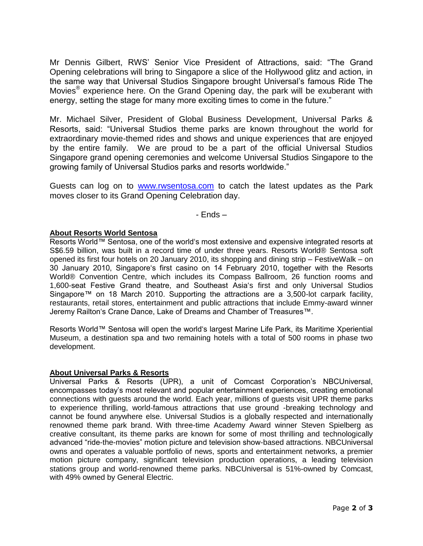Mr Dennis Gilbert, RWS" Senior Vice President of Attractions, said: "The Grand Opening celebrations will bring to Singapore a slice of the Hollywood glitz and action, in the same way that Universal Studios Singapore brought Universal"s famous Ride The Movies*®* experience here. On the Grand Opening day, the park will be exuberant with energy, setting the stage for many more exciting times to come in the future."

Mr. Michael Silver, President of Global Business Development, Universal Parks & Resorts, said: "Universal Studios theme parks are known throughout the world for extraordinary movie-themed rides and shows and unique experiences that are enjoyed by the entire family. We are proud to be a part of the official Universal Studios Singapore grand opening ceremonies and welcome Universal Studios Singapore to the growing family of Universal Studios parks and resorts worldwide."

Guests can log on to [www.rwsentosa.com](http://www.rwsentosa.com/) to catch the latest updates as the Park moves closer to its Grand Opening Celebration day.

- Ends –

### **About Resorts World Sentosa**

Resorts World™ Sentosa, one of the world's most extensive and expensive integrated resorts at S\$6.59 billion, was built in a record time of under three years. Resorts World® Sentosa soft opened its first four hotels on 20 January 2010, its shopping and dining strip – FestiveWalk – on 30 January 2010, Singapore"s first casino on 14 February 2010, together with the Resorts World® Convention Centre, which includes its Compass Ballroom, 26 function rooms and 1,600-seat Festive Grand theatre, and Southeast Asia"s first and only Universal Studios Singapore™ on 18 March 2010. Supporting the attractions are a 3,500-lot carpark facility, restaurants, retail stores, entertainment and public attractions that include Emmy-award winner Jeremy Railton"s Crane Dance, Lake of Dreams and Chamber of Treasures™.

Resorts World™ Sentosa will open the world's largest Marine Life Park, its Maritime Xperiential Museum, a destination spa and two remaining hotels with a total of 500 rooms in phase two development.

#### **About Universal Parks & Resorts**

Universal Parks & Resorts (UPR), a unit of Comcast Corporation"s NBCUniversal, encompasses today"s most relevant and popular entertainment experiences, creating emotional connections with guests around the world. Each year, millions of guests visit UPR theme parks to experience thrilling, world-famous attractions that use ground -breaking technology and cannot be found anywhere else. Universal Studios is a globally respected and internationally renowned theme park brand. With three-time Academy Award winner Steven Spielberg as creative consultant, its theme parks are known for some of most thrilling and technologically advanced "ride-the-movies" motion picture and television show-based attractions. NBCUniversal owns and operates a valuable portfolio of news, sports and entertainment networks, a premier motion picture company, significant television production operations, a leading television stations group and world-renowned theme parks. NBCUniversal is 51%-owned by Comcast, with 49% owned by General Electric.